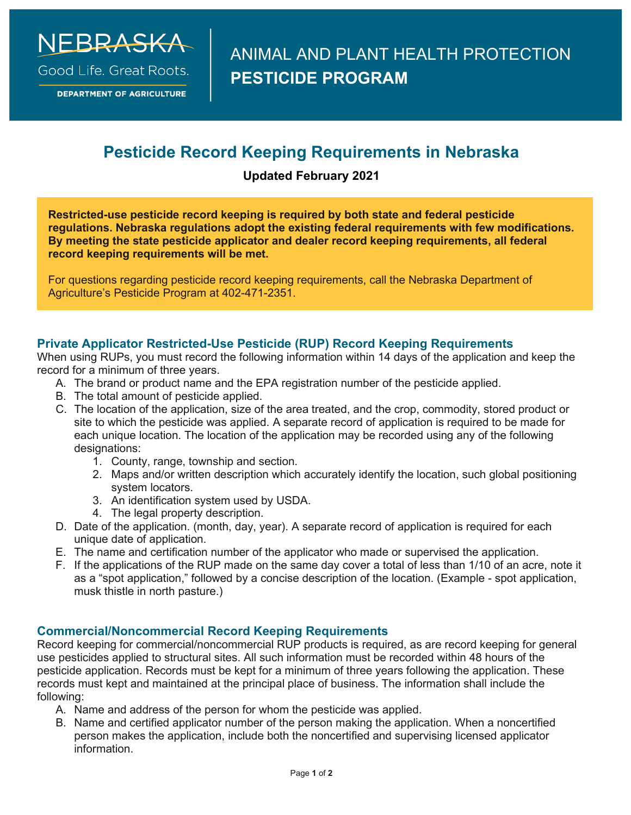

Good Life, Great Roots.

**DEPARTMENT OF AGRICULTURE** 

# **Pesticide Record Keeping Requirements in Nebraska**

## **Updated February 2021**

**Restricted-use pesticide record keeping is required by both state and federal pesticide regulations. Nebraska regulations adopt the existing federal requirements with few modifications. By meeting the state pesticide applicator and dealer record keeping requirements, all federal record keeping requirements will be met.**

For questions regarding pesticide record keeping requirements, call the Nebraska Department of Agriculture's Pesticide Program at 402-471-2351.

### **Private Applicator Restricted-Use Pesticide (RUP) Record Keeping Requirements**

When using RUPs, you must record the following information within 14 days of the application and keep the record for a minimum of three years.

- A. The brand or product name and the EPA registration number of the pesticide applied.
- B. The total amount of pesticide applied.
- C. The location of the application, size of the area treated, and the crop, commodity, stored product or site to which the pesticide was applied. A separate record of application is required to be made for each unique location. The location of the application may be recorded using any of the following designations:
	- 1. County, range, township and section.
	- 2. Maps and/or written description which accurately identify the location, such global positioning system locators.
	- 3. An identification system used by USDA.
	- 4. The legal property description.
- D. Date of the application. (month, day, year). A separate record of application is required for each unique date of application.
- E. The name and certification number of the applicator who made or supervised the application.
- F. If the applications of the RUP made on the same day cover a total of less than 1/10 of an acre, note it as a "spot application," followed by a concise description of the location. (Example - spot application, musk thistle in north pasture.)

#### **Commercial/Noncommercial Record Keeping Requirements**

Record keeping for commercial/noncommercial RUP products is required, as are record keeping for general use pesticides applied to structural sites. All such information must be recorded within 48 hours of the pesticide application. Records must be kept for a minimum of three years following the application. These records must kept and maintained at the principal place of business. The information shall include the following:

- A. Name and address of the person for whom the pesticide was applied.
- B. Name and certified applicator number of the person making the application. When a noncertified person makes the application, include both the noncertified and supervising licensed applicator information.